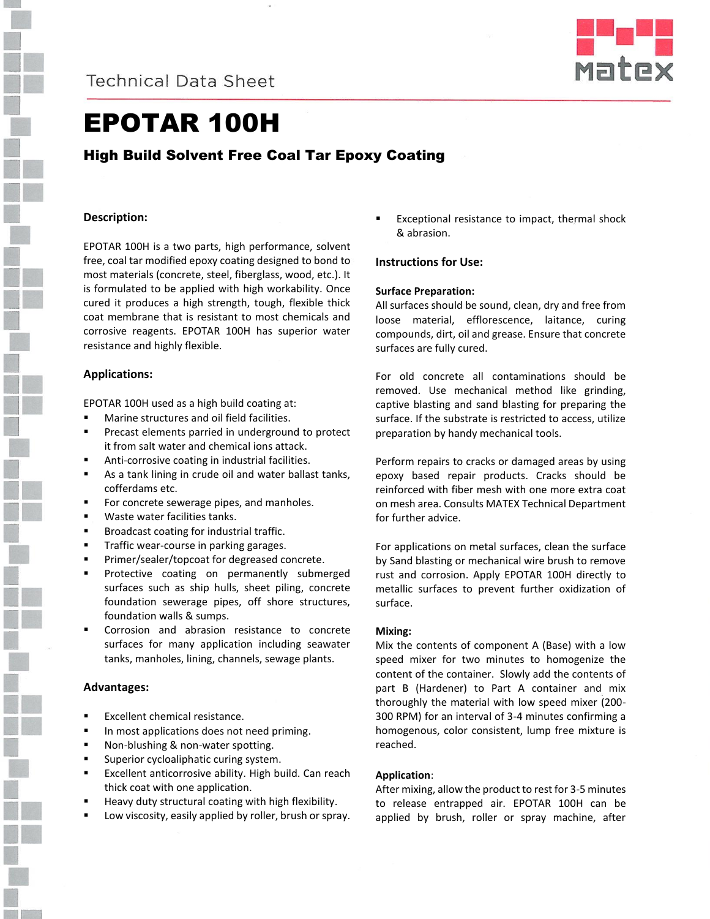



# EPOTAR 100H

High Build Solvent Free Coal Tar Epoxy Coating

# **Description:**

EPOTAR 100H is a two parts, high performance, solvent free, coal tar modified epoxy coating designed to bond to most materials (concrete, steel, fiberglass, wood, etc.). It is formulated to be applied with high workability. Once cured it produces a high strength, tough, flexible thick coat membrane that is resistant to most chemicals and corrosive reagents. EPOTAR 100H has superior water resistance and highly flexible.

# **Applications:**

EPOTAR 100H used as a high build coating at:

- Marine structures and oil field facilities.
- Precast elements parried in underground to protect it from salt water and chemical ions attack.
- Anti-corrosive coating in industrial facilities.
- As a tank lining in crude oil and water ballast tanks, cofferdams etc.
- For concrete sewerage pipes, and manholes.
- Waste water facilities tanks.
- Broadcast coating for industrial traffic.
- Traffic wear-course in parking garages.
- Primer/sealer/topcoat for degreased concrete.
- Protective coating on permanently submerged surfaces such as ship hulls, sheet piling, concrete foundation sewerage pipes, off shore structures, foundation walls & sumps.
- Corrosion and abrasion resistance to concrete surfaces for many application including seawater tanks, manholes, lining, channels, sewage plants.

#### **Advantages:**

- Excellent chemical resistance.
- **IF** In most applications does not need priming.
- **Non-blushing & non-water spotting.**
- **Superior cycloaliphatic curing system.**
- **Excellent anticorrosive ability. High build. Can reach** thick coat with one application.
- Heavy duty structural coating with high flexibility.
- Low viscosity, easily applied by roller, brush or spray.

 Exceptional resistance to impact, thermal shock & abrasion.

#### **Instructions for Use:**

#### **Surface Preparation:**

All surfaces should be sound, clean, dry and free from loose material, efflorescence, laitance, curing compounds, dirt, oil and grease. Ensure that concrete surfaces are fully cured.

For old concrete all contaminations should be removed. Use mechanical method like grinding, captive blasting and sand blasting for preparing the surface. If the substrate is restricted to access, utilize preparation by handy mechanical tools.

Perform repairs to cracks or damaged areas by using epoxy based repair products. Cracks should be reinforced with fiber mesh with one more extra coat on mesh area. Consults MATEX Technical Department for further advice.

For applications on metal surfaces, clean the surface by Sand blasting or mechanical wire brush to remove rust and corrosion. Apply EPOTAR 100H directly to metallic surfaces to prevent further oxidization of surface.

#### **Mixing:**

Mix the contents of component A (Base) with a low speed mixer for two minutes to homogenize the content of the container. Slowly add the contents of part B (Hardener) to Part A container and mix thoroughly the material with low speed mixer (200- 300 RPM) for an interval of 3-4 minutes confirming a homogenous, color consistent, lump free mixture is reached.

#### **Application**:

After mixing, allow the product to rest for 3-5 minutes to release entrapped air. EPOTAR 100H can be applied by brush, roller or spray machine, after